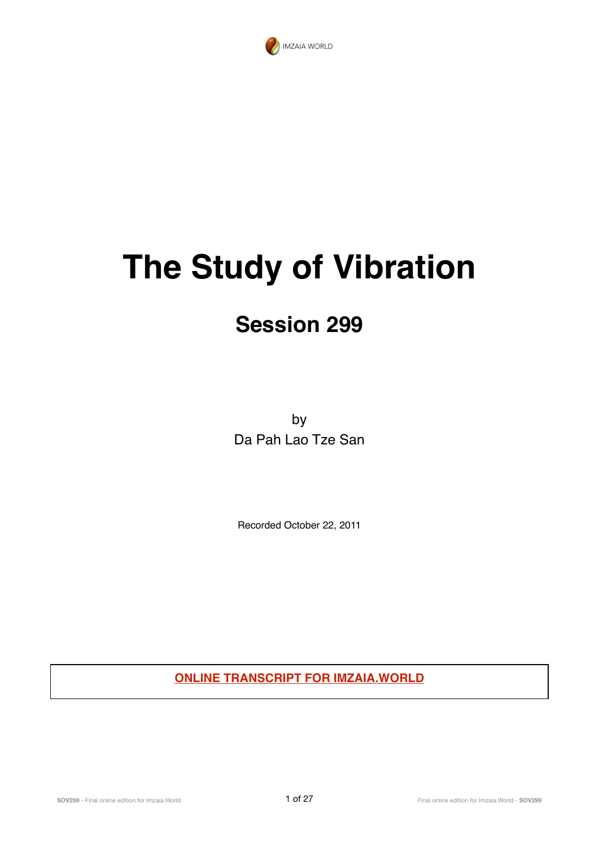

# **The Study of Vibration**

## **Session 299**

by Da Pah Lao Tze San

Recorded October 22, 2011

**ONLINE TRANSCRIPT FOR IMZAIA.WORLD**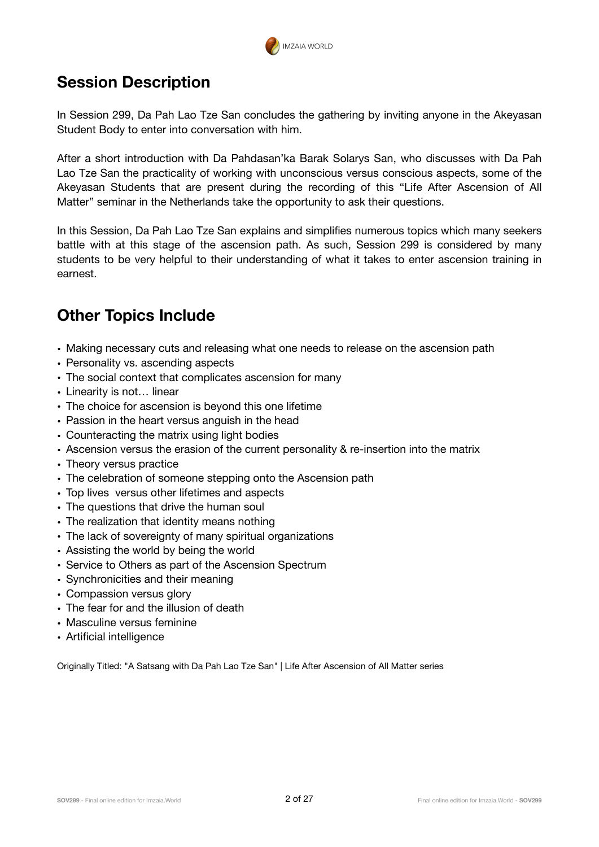

## **Session Description**

In Session 299, Da Pah Lao Tze San concludes the gathering by inviting anyone in the Akeyasan Student Body to enter into conversation with him.

After a short introduction with Da Pahdasan'ka Barak Solarys San, who discusses with Da Pah Lao Tze San the practicality of working with unconscious versus conscious aspects, some of the Akeyasan Students that are present during the recording of this "Life After Ascension of All Matter" seminar in the Netherlands take the opportunity to ask their questions.

In this Session, Da Pah Lao Tze San explains and simplifies numerous topics which many seekers battle with at this stage of the ascension path. As such, Session 299 is considered by many students to be very helpful to their understanding of what it takes to enter ascension training in earnest.

## **Other Topics Include**

- Making necessary cuts and releasing what one needs to release on the ascension path
- Personality vs. ascending aspects
- The social context that complicates ascension for many
- Linearity is not… linear
- The choice for ascension is beyond this one lifetime
- Passion in the heart versus anguish in the head
- Counteracting the matrix using light bodies
- Ascension versus the erasion of the current personality & re-insertion into the matrix
- Theory versus practice
- The celebration of someone stepping onto the Ascension path
- Top lives versus other lifetimes and aspects
- The questions that drive the human soul
- The realization that identity means nothing
- The lack of sovereignty of many spiritual organizations
- Assisting the world by being the world
- Service to Others as part of the Ascension Spectrum
- Synchronicities and their meaning
- Compassion versus glory
- The fear for and the illusion of death
- Masculine versus feminine
- Artificial intelligence

Originally Titled: "A Satsang with Da Pah Lao Tze San" | Life After Ascension of All Matter series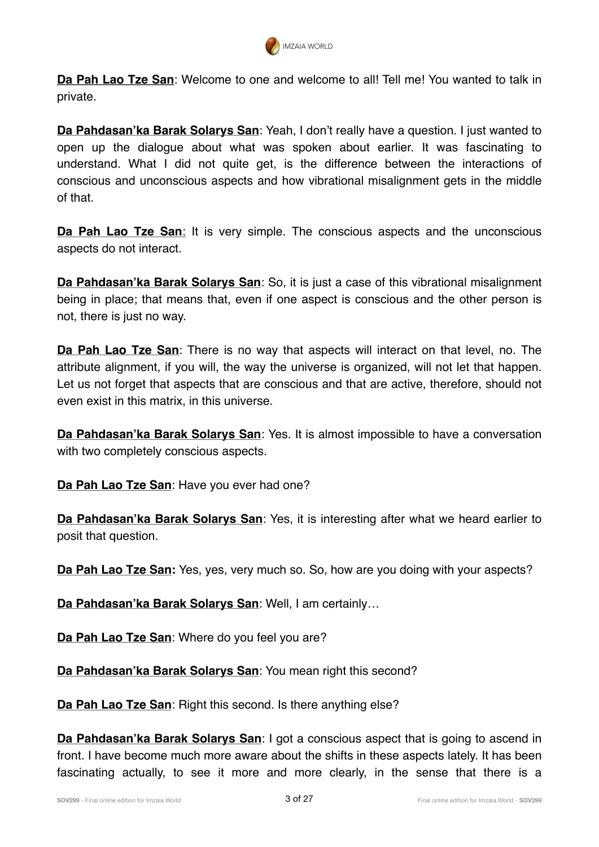

**Da Pah Lao Tze San**: Welcome to one and welcome to all! Tell me! You wanted to talk in private.

**Da Pahdasan'ka Barak Solarys San**: Yeah, I don't really have a question. I just wanted to open up the dialogue about what was spoken about earlier. It was fascinating to understand. What I did not quite get, is the difference between the interactions of conscious and unconscious aspects and how vibrational misalignment gets in the middle of that.

**Da Pah Lao Tze San**: It is very simple. The conscious aspects and the unconscious aspects do not interact.

**Da Pahdasan'ka Barak Solarys San**: So, it is just a case of this vibrational misalignment being in place; that means that, even if one aspect is conscious and the other person is not, there is just no way.

**Da Pah Lao Tze San**: There is no way that aspects will interact on that level, no. The attribute alignment, if you will, the way the universe is organized, will not let that happen. Let us not forget that aspects that are conscious and that are active, therefore, should not even exist in this matrix, in this universe.

**Da Pahdasan'ka Barak Solarys San**: Yes. It is almost impossible to have a conversation with two completely conscious aspects.

**Da Pah Lao Tze San**: Have you ever had one?

**Da Pahdasan'ka Barak Solarys San**: Yes, it is interesting after what we heard earlier to posit that question.

**Da Pah Lao Tze San:** Yes, yes, very much so. So, how are you doing with your aspects?

**Da Pahdasan'ka Barak Solarys San**: Well, I am certainly…

**Da Pah Lao Tze San**: Where do you feel you are?

**Da Pahdasan'ka Barak Solarys San**: You mean right this second?

**Da Pah Lao Tze San**: Right this second. Is there anything else?

**Da Pahdasan'ka Barak Solarys San**: I got a conscious aspect that is going to ascend in front. I have become much more aware about the shifts in these aspects lately. It has been fascinating actually, to see it more and more clearly, in the sense that there is a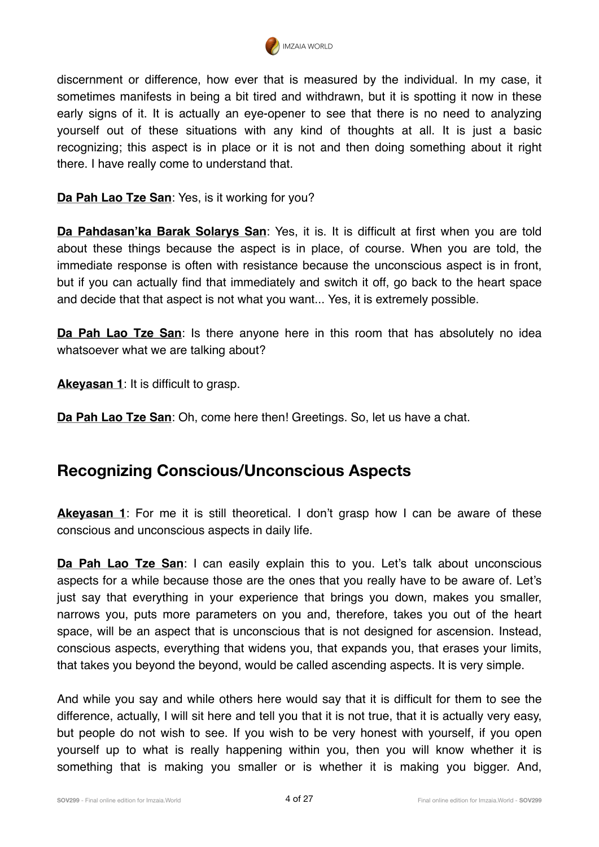

discernment or difference, how ever that is measured by the individual. In my case, it sometimes manifests in being a bit tired and withdrawn, but it is spotting it now in these early signs of it. It is actually an eye-opener to see that there is no need to analyzing yourself out of these situations with any kind of thoughts at all. It is just a basic recognizing; this aspect is in place or it is not and then doing something about it right there. I have really come to understand that.

#### **Da Pah Lao Tze San**: Yes, is it working for you?

**Da Pahdasan'ka Barak Solarys San**: Yes, it is. It is difficult at first when you are told about these things because the aspect is in place, of course. When you are told, the immediate response is often with resistance because the unconscious aspect is in front, but if you can actually find that immediately and switch it off, go back to the heart space and decide that that aspect is not what you want... Yes, it is extremely possible.

**Da Pah Lao Tze San**: Is there anyone here in this room that has absolutely no idea whatsoever what we are talking about?

**Akeyasan 1**: It is difficult to grasp.

**Da Pah Lao Tze San**: Oh, come here then! Greetings. So, let us have a chat.

#### **Recognizing Conscious/Unconscious Aspects**

**Akeyasan 1**: For me it is still theoretical. I don't grasp how I can be aware of these conscious and unconscious aspects in daily life.

**Da Pah Lao Tze San**: I can easily explain this to you. Let's talk about unconscious aspects for a while because those are the ones that you really have to be aware of. Let's just say that everything in your experience that brings you down, makes you smaller, narrows you, puts more parameters on you and, therefore, takes you out of the heart space, will be an aspect that is unconscious that is not designed for ascension. Instead, conscious aspects, everything that widens you, that expands you, that erases your limits, that takes you beyond the beyond, would be called ascending aspects. It is very simple.

And while you say and while others here would say that it is difficult for them to see the difference, actually, I will sit here and tell you that it is not true, that it is actually very easy, but people do not wish to see. If you wish to be very honest with yourself, if you open yourself up to what is really happening within you, then you will know whether it is something that is making you smaller or is whether it is making you bigger. And,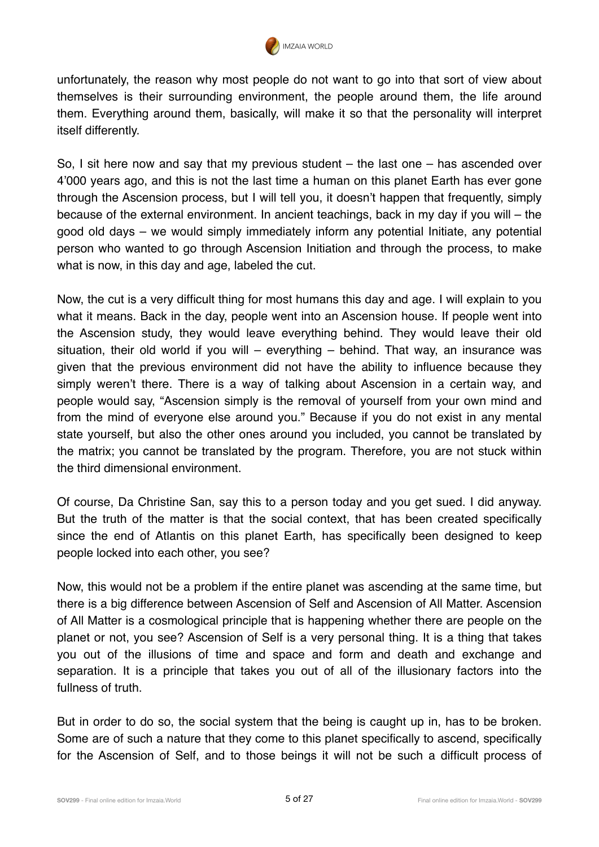

unfortunately, the reason why most people do not want to go into that sort of view about themselves is their surrounding environment, the people around them, the life around them. Everything around them, basically, will make it so that the personality will interpret itself differently.

So, I sit here now and say that my previous student – the last one – has ascended over 4'000 years ago, and this is not the last time a human on this planet Earth has ever gone through the Ascension process, but I will tell you, it doesn't happen that frequently, simply because of the external environment. In ancient teachings, back in my day if you will – the good old days – we would simply immediately inform any potential Initiate, any potential person who wanted to go through Ascension Initiation and through the process, to make what is now, in this day and age, labeled the cut.

Now, the cut is a very difficult thing for most humans this day and age. I will explain to you what it means. Back in the day, people went into an Ascension house. If people went into the Ascension study, they would leave everything behind. They would leave their old situation, their old world if you will – everything – behind. That way, an insurance was given that the previous environment did not have the ability to influence because they simply weren't there. There is a way of talking about Ascension in a certain way, and people would say, "Ascension simply is the removal of yourself from your own mind and from the mind of everyone else around you." Because if you do not exist in any mental state yourself, but also the other ones around you included, you cannot be translated by the matrix; you cannot be translated by the program. Therefore, you are not stuck within the third dimensional environment.

Of course, Da Christine San, say this to a person today and you get sued. I did anyway. But the truth of the matter is that the social context, that has been created specifically since the end of Atlantis on this planet Earth, has specifically been designed to keep people locked into each other, you see?

Now, this would not be a problem if the entire planet was ascending at the same time, but there is a big difference between Ascension of Self and Ascension of All Matter. Ascension of All Matter is a cosmological principle that is happening whether there are people on the planet or not, you see? Ascension of Self is a very personal thing. It is a thing that takes you out of the illusions of time and space and form and death and exchange and separation. It is a principle that takes you out of all of the illusionary factors into the fullness of truth.

But in order to do so, the social system that the being is caught up in, has to be broken. Some are of such a nature that they come to this planet specifically to ascend, specifically for the Ascension of Self, and to those beings it will not be such a difficult process of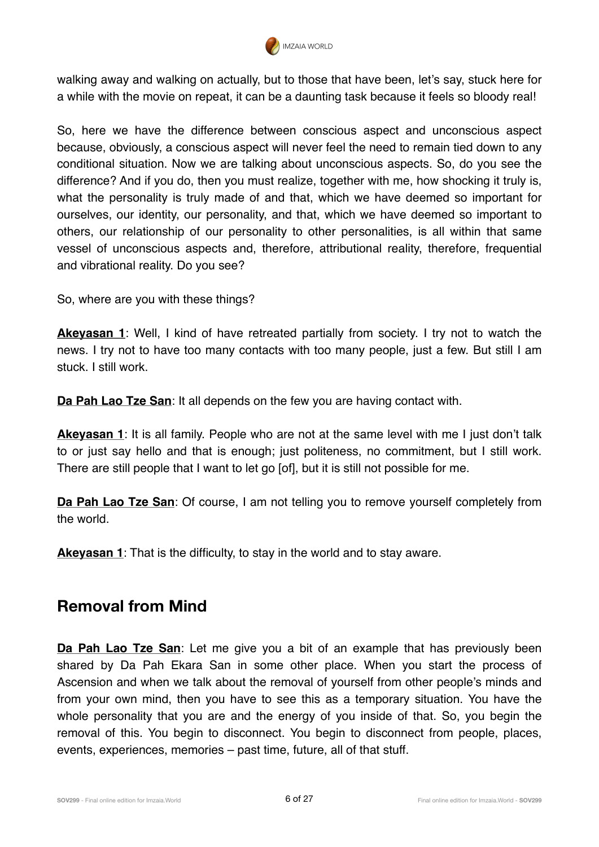

walking away and walking on actually, but to those that have been, let's say, stuck here for a while with the movie on repeat, it can be a daunting task because it feels so bloody real!

So, here we have the difference between conscious aspect and unconscious aspect because, obviously, a conscious aspect will never feel the need to remain tied down to any conditional situation. Now we are talking about unconscious aspects. So, do you see the difference? And if you do, then you must realize, together with me, how shocking it truly is, what the personality is truly made of and that, which we have deemed so important for ourselves, our identity, our personality, and that, which we have deemed so important to others, our relationship of our personality to other personalities, is all within that same vessel of unconscious aspects and, therefore, attributional reality, therefore, frequential and vibrational reality. Do you see?

So, where are you with these things?

**Akeyasan 1**: Well, I kind of have retreated partially from society. I try not to watch the news. I try not to have too many contacts with too many people, just a few. But still I am stuck. I still work.

**Da Pah Lao Tze San**: It all depends on the few you are having contact with.

**Akeyasan 1**: It is all family. People who are not at the same level with me I just don't talk to or just say hello and that is enough; just politeness, no commitment, but I still work. There are still people that I want to let go [of], but it is still not possible for me.

**Da Pah Lao Tze San**: Of course, I am not telling you to remove yourself completely from the world.

**Akeyasan 1**: That is the difficulty, to stay in the world and to stay aware.

#### **Removal from Mind**

**Da Pah Lao Tze San**: Let me give you a bit of an example that has previously been shared by Da Pah Ekara San in some other place. When you start the process of Ascension and when we talk about the removal of yourself from other people's minds and from your own mind, then you have to see this as a temporary situation. You have the whole personality that you are and the energy of you inside of that. So, you begin the removal of this. You begin to disconnect. You begin to disconnect from people, places, events, experiences, memories – past time, future, all of that stuff.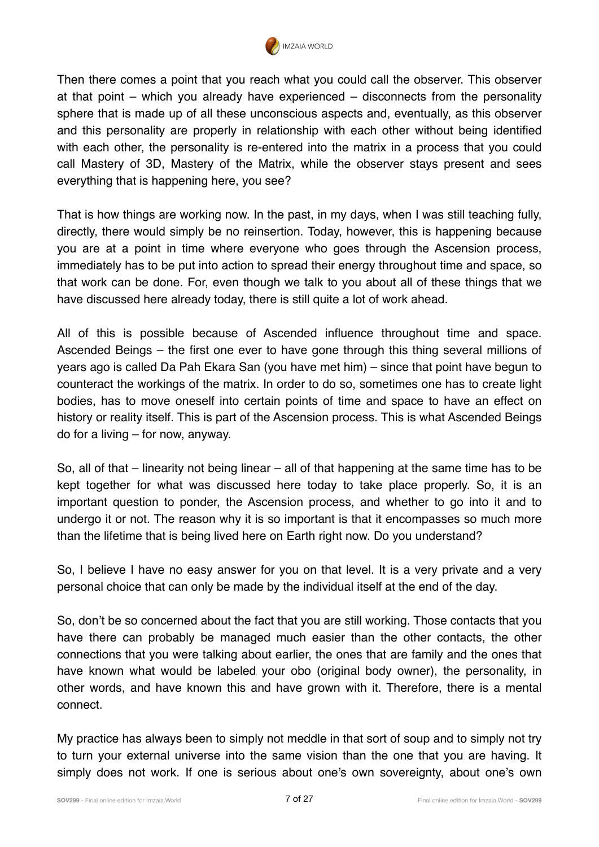

Then there comes a point that you reach what you could call the observer. This observer at that point – which you already have experienced – disconnects from the personality sphere that is made up of all these unconscious aspects and, eventually, as this observer and this personality are properly in relationship with each other without being identified with each other, the personality is re-entered into the matrix in a process that you could call Mastery of 3D, Mastery of the Matrix, while the observer stays present and sees everything that is happening here, you see?

That is how things are working now. In the past, in my days, when I was still teaching fully, directly, there would simply be no reinsertion. Today, however, this is happening because you are at a point in time where everyone who goes through the Ascension process, immediately has to be put into action to spread their energy throughout time and space, so that work can be done. For, even though we talk to you about all of these things that we have discussed here already today, there is still quite a lot of work ahead.

All of this is possible because of Ascended influence throughout time and space. Ascended Beings – the first one ever to have gone through this thing several millions of years ago is called Da Pah Ekara San (you have met him) – since that point have begun to counteract the workings of the matrix. In order to do so, sometimes one has to create light bodies, has to move oneself into certain points of time and space to have an effect on history or reality itself. This is part of the Ascension process. This is what Ascended Beings do for a living – for now, anyway.

So, all of that – linearity not being linear – all of that happening at the same time has to be kept together for what was discussed here today to take place properly. So, it is an important question to ponder, the Ascension process, and whether to go into it and to undergo it or not. The reason why it is so important is that it encompasses so much more than the lifetime that is being lived here on Earth right now. Do you understand?

So, I believe I have no easy answer for you on that level. It is a very private and a very personal choice that can only be made by the individual itself at the end of the day.

So, don't be so concerned about the fact that you are still working. Those contacts that you have there can probably be managed much easier than the other contacts, the other connections that you were talking about earlier, the ones that are family and the ones that have known what would be labeled your obo (original body owner), the personality, in other words, and have known this and have grown with it. Therefore, there is a mental connect.

My practice has always been to simply not meddle in that sort of soup and to simply not try to turn your external universe into the same vision than the one that you are having. It simply does not work. If one is serious about one's own sovereignty, about one's own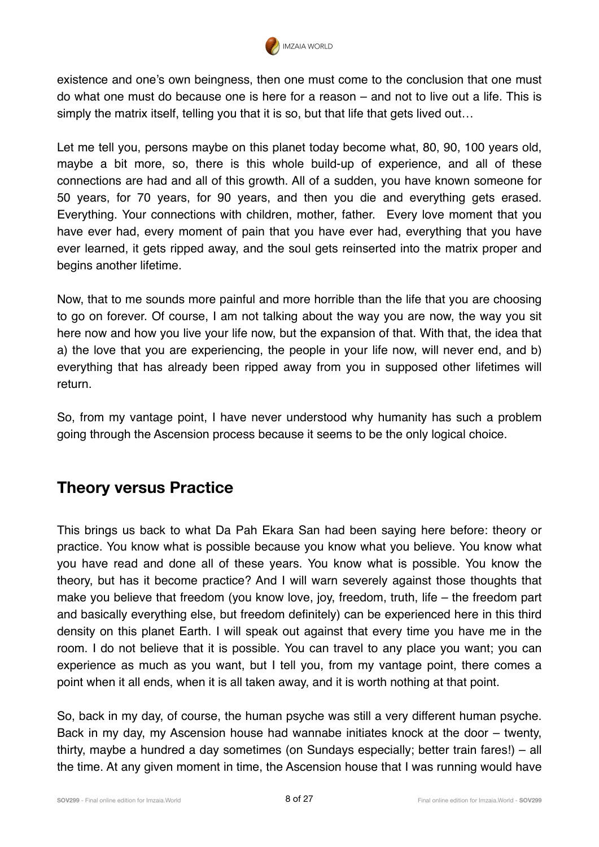

existence and one's own beingness, then one must come to the conclusion that one must do what one must do because one is here for a reason – and not to live out a life. This is simply the matrix itself, telling you that it is so, but that life that gets lived out…

Let me tell you, persons maybe on this planet today become what, 80, 90, 100 years old, maybe a bit more, so, there is this whole build-up of experience, and all of these connections are had and all of this growth. All of a sudden, you have known someone for 50 years, for 70 years, for 90 years, and then you die and everything gets erased. Everything. Your connections with children, mother, father. Every love moment that you have ever had, every moment of pain that you have ever had, everything that you have ever learned, it gets ripped away, and the soul gets reinserted into the matrix proper and begins another lifetime.

Now, that to me sounds more painful and more horrible than the life that you are choosing to go on forever. Of course, I am not talking about the way you are now, the way you sit here now and how you live your life now, but the expansion of that. With that, the idea that a) the love that you are experiencing, the people in your life now, will never end, and b) everything that has already been ripped away from you in supposed other lifetimes will return.

So, from my vantage point, I have never understood why humanity has such a problem going through the Ascension process because it seems to be the only logical choice.

#### **Theory versus Practice**

This brings us back to what Da Pah Ekara San had been saying here before: theory or practice. You know what is possible because you know what you believe. You know what you have read and done all of these years. You know what is possible. You know the theory, but has it become practice? And I will warn severely against those thoughts that make you believe that freedom (you know love, joy, freedom, truth, life – the freedom part and basically everything else, but freedom definitely) can be experienced here in this third density on this planet Earth. I will speak out against that every time you have me in the room. I do not believe that it is possible. You can travel to any place you want; you can experience as much as you want, but I tell you, from my vantage point, there comes a point when it all ends, when it is all taken away, and it is worth nothing at that point.

So, back in my day, of course, the human psyche was still a very different human psyche. Back in my day, my Ascension house had wannabe initiates knock at the door – twenty, thirty, maybe a hundred a day sometimes (on Sundays especially; better train fares!) – all the time. At any given moment in time, the Ascension house that I was running would have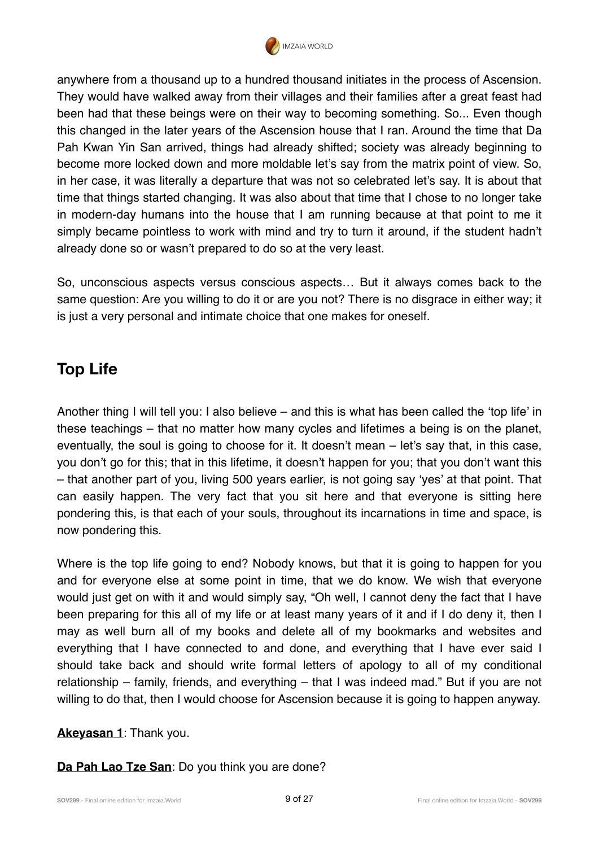

anywhere from a thousand up to a hundred thousand initiates in the process of Ascension. They would have walked away from their villages and their families after a great feast had been had that these beings were on their way to becoming something. So... Even though this changed in the later years of the Ascension house that I ran. Around the time that Da Pah Kwan Yin San arrived, things had already shifted; society was already beginning to become more locked down and more moldable let's say from the matrix point of view. So, in her case, it was literally a departure that was not so celebrated let's say. It is about that time that things started changing. It was also about that time that I chose to no longer take in modern-day humans into the house that I am running because at that point to me it simply became pointless to work with mind and try to turn it around, if the student hadn't already done so or wasn't prepared to do so at the very least.

So, unconscious aspects versus conscious aspects… But it always comes back to the same question: Are you willing to do it or are you not? There is no disgrace in either way; it is just a very personal and intimate choice that one makes for oneself.

## **Top Life**

Another thing I will tell you: I also believe – and this is what has been called the 'top life' in these teachings – that no matter how many cycles and lifetimes a being is on the planet, eventually, the soul is going to choose for it. It doesn't mean – let's say that, in this case, you don't go for this; that in this lifetime, it doesn't happen for you; that you don't want this – that another part of you, living 500 years earlier, is not going say 'yes' at that point. That can easily happen. The very fact that you sit here and that everyone is sitting here pondering this, is that each of your souls, throughout its incarnations in time and space, is now pondering this.

Where is the top life going to end? Nobody knows, but that it is going to happen for you and for everyone else at some point in time, that we do know. We wish that everyone would just get on with it and would simply say, "Oh well, I cannot deny the fact that I have been preparing for this all of my life or at least many years of it and if I do deny it, then I may as well burn all of my books and delete all of my bookmarks and websites and everything that I have connected to and done, and everything that I have ever said I should take back and should write formal letters of apology to all of my conditional relationship – family, friends, and everything – that I was indeed mad." But if you are not willing to do that, then I would choose for Ascension because it is going to happen anyway.

#### **Akeyasan 1**: Thank you.

**Da Pah Lao Tze San**: Do you think you are done?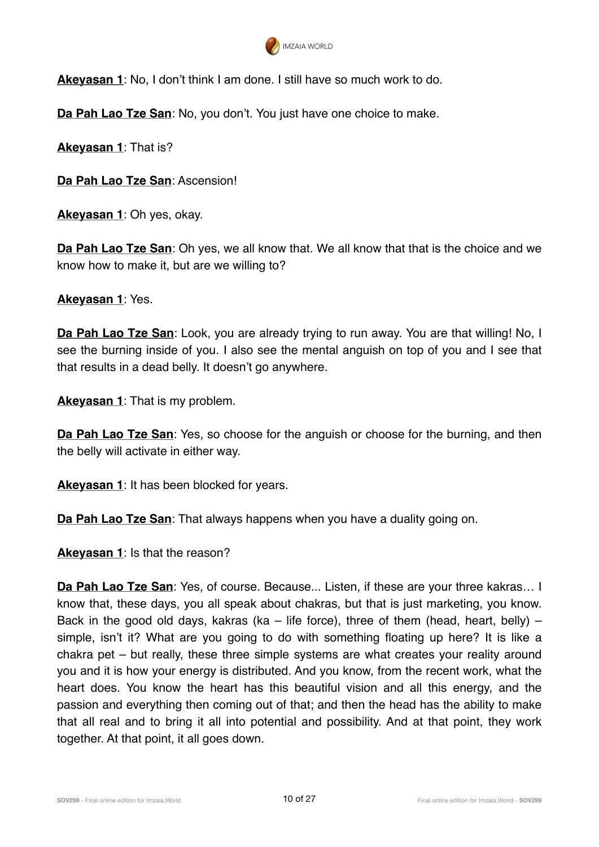

**Akeyasan 1**: No, I don't think I am done. I still have so much work to do.

**Da Pah Lao Tze San**: No, you don't. You just have one choice to make.

**Akeyasan 1**: That is?

**Da Pah Lao Tze San**: Ascension!

**Akeyasan 1**: Oh yes, okay.

**Da Pah Lao Tze San**: Oh yes, we all know that. We all know that that is the choice and we know how to make it, but are we willing to?

**Akeyasan 1**: Yes.

**Da Pah Lao Tze San**: Look, you are already trying to run away. You are that willing! No, I see the burning inside of you. I also see the mental anguish on top of you and I see that that results in a dead belly. It doesn't go anywhere.

**Akeyasan 1**: That is my problem.

**Da Pah Lao Tze San**: Yes, so choose for the anguish or choose for the burning, and then the belly will activate in either way.

**Akeyasan 1**: It has been blocked for years.

**Da Pah Lao Tze San**: That always happens when you have a duality going on.

**Akeyasan 1**: Is that the reason?

**Da Pah Lao Tze San**: Yes, of course. Because... Listen, if these are your three kakras… I know that, these days, you all speak about chakras, but that is just marketing, you know. Back in the good old days, kakras (ka – life force), three of them (head, heart, belly) – simple, isn't it? What are you going to do with something floating up here? It is like a chakra pet – but really, these three simple systems are what creates your reality around you and it is how your energy is distributed. And you know, from the recent work, what the heart does. You know the heart has this beautiful vision and all this energy, and the passion and everything then coming out of that; and then the head has the ability to make that all real and to bring it all into potential and possibility. And at that point, they work together. At that point, it all goes down.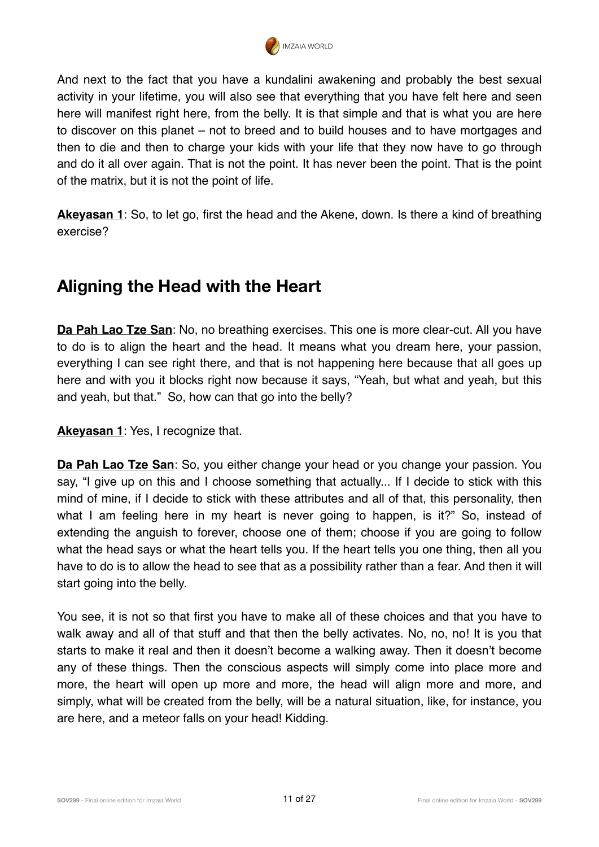

And next to the fact that you have a kundalini awakening and probably the best sexual activity in your lifetime, you will also see that everything that you have felt here and seen here will manifest right here, from the belly. It is that simple and that is what you are here to discover on this planet – not to breed and to build houses and to have mortgages and then to die and then to charge your kids with your life that they now have to go through and do it all over again. That is not the point. It has never been the point. That is the point of the matrix, but it is not the point of life.

**Akeyasan 1**: So, to let go, first the head and the Akene, down. Is there a kind of breathing exercise?

## **Aligning the Head with the Heart**

**Da Pah Lao Tze San**: No, no breathing exercises. This one is more clear-cut. All you have to do is to align the heart and the head. It means what you dream here, your passion, everything I can see right there, and that is not happening here because that all goes up here and with you it blocks right now because it says, "Yeah, but what and yeah, but this and yeah, but that." So, how can that go into the belly?

**Akeyasan 1**: Yes, I recognize that.

**Da Pah Lao Tze San**: So, you either change your head or you change your passion. You say, "I give up on this and I choose something that actually... If I decide to stick with this mind of mine, if I decide to stick with these attributes and all of that, this personality, then what I am feeling here in my heart is never going to happen, is it?" So, instead of extending the anguish to forever, choose one of them; choose if you are going to follow what the head says or what the heart tells you. If the heart tells you one thing, then all you have to do is to allow the head to see that as a possibility rather than a fear. And then it will start going into the belly.

You see, it is not so that first you have to make all of these choices and that you have to walk away and all of that stuff and that then the belly activates. No, no, no! It is you that starts to make it real and then it doesn't become a walking away. Then it doesn't become any of these things. Then the conscious aspects will simply come into place more and more, the heart will open up more and more, the head will align more and more, and simply, what will be created from the belly, will be a natural situation, like, for instance, you are here, and a meteor falls on your head! Kidding.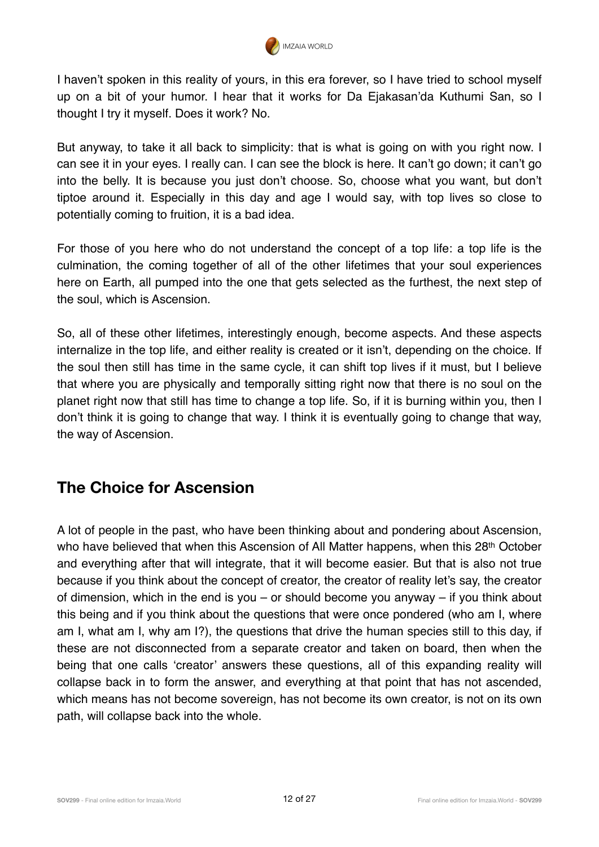

I haven't spoken in this reality of yours, in this era forever, so I have tried to school myself up on a bit of your humor. I hear that it works for Da Ejakasan'da Kuthumi San, so I thought I try it myself. Does it work? No.

But anyway, to take it all back to simplicity: that is what is going on with you right now. I can see it in your eyes. I really can. I can see the block is here. It can't go down; it can't go into the belly. It is because you just don't choose. So, choose what you want, but don't tiptoe around it. Especially in this day and age I would say, with top lives so close to potentially coming to fruition, it is a bad idea.

For those of you here who do not understand the concept of a top life: a top life is the culmination, the coming together of all of the other lifetimes that your soul experiences here on Earth, all pumped into the one that gets selected as the furthest, the next step of the soul, which is Ascension.

So, all of these other lifetimes, interestingly enough, become aspects. And these aspects internalize in the top life, and either reality is created or it isn't, depending on the choice. If the soul then still has time in the same cycle, it can shift top lives if it must, but I believe that where you are physically and temporally sitting right now that there is no soul on the planet right now that still has time to change a top life. So, if it is burning within you, then I don't think it is going to change that way. I think it is eventually going to change that way, the way of Ascension.

#### **The Choice for Ascension**

A lot of people in the past, who have been thinking about and pondering about Ascension, who have believed that when this Ascension of All Matter happens, when this 28<sup>th</sup> October and everything after that will integrate, that it will become easier. But that is also not true because if you think about the concept of creator, the creator of reality let's say, the creator of dimension, which in the end is you – or should become you anyway – if you think about this being and if you think about the questions that were once pondered (who am I, where am I, what am I, why am I?), the questions that drive the human species still to this day, if these are not disconnected from a separate creator and taken on board, then when the being that one calls 'creator' answers these questions, all of this expanding reality will collapse back in to form the answer, and everything at that point that has not ascended, which means has not become sovereign, has not become its own creator, is not on its own path, will collapse back into the whole.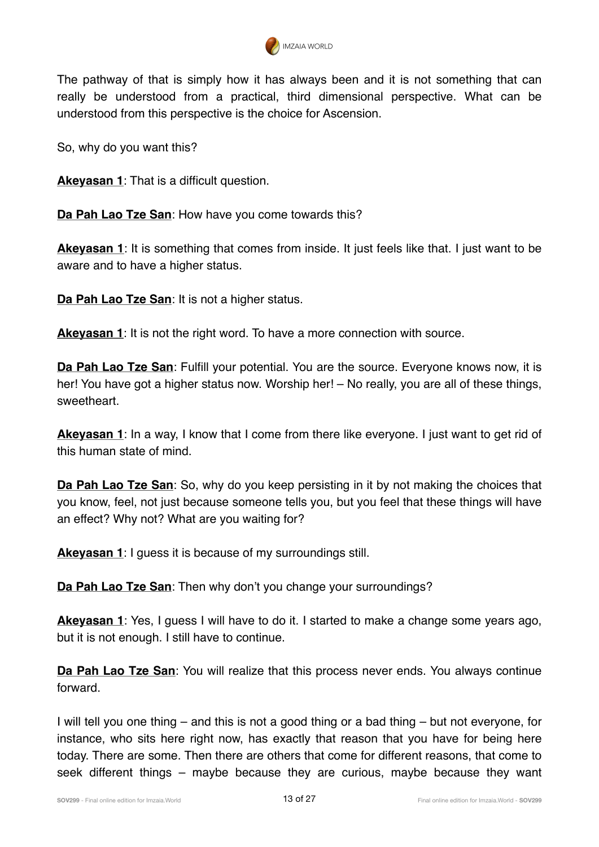

The pathway of that is simply how it has always been and it is not something that can really be understood from a practical, third dimensional perspective. What can be understood from this perspective is the choice for Ascension.

So, why do you want this?

**Akeyasan 1**: That is a difficult question.

**Da Pah Lao Tze San**: How have you come towards this?

**Akeyasan 1**: It is something that comes from inside. It just feels like that. I just want to be aware and to have a higher status.

**Da Pah Lao Tze San**: It is not a higher status.

**Akeyasan 1**: It is not the right word. To have a more connection with source.

**Da Pah Lao Tze San**: Fulfill your potential. You are the source. Everyone knows now, it is her! You have got a higher status now. Worship her! – No really, you are all of these things, sweetheart.

**Akeyasan 1**: In a way, I know that I come from there like everyone. I just want to get rid of this human state of mind.

**Da Pah Lao Tze San:** So, why do you keep persisting in it by not making the choices that you know, feel, not just because someone tells you, but you feel that these things will have an effect? Why not? What are you waiting for?

**Akeyasan 1**: I guess it is because of my surroundings still.

**Da Pah Lao Tze San**: Then why don't you change your surroundings?

**Akeyasan 1**: Yes, I guess I will have to do it. I started to make a change some years ago, but it is not enough. I still have to continue.

**Da Pah Lao Tze San:** You will realize that this process never ends. You always continue forward.

I will tell you one thing – and this is not a good thing or a bad thing – but not everyone, for instance, who sits here right now, has exactly that reason that you have for being here today. There are some. Then there are others that come for different reasons, that come to seek different things – maybe because they are curious, maybe because they want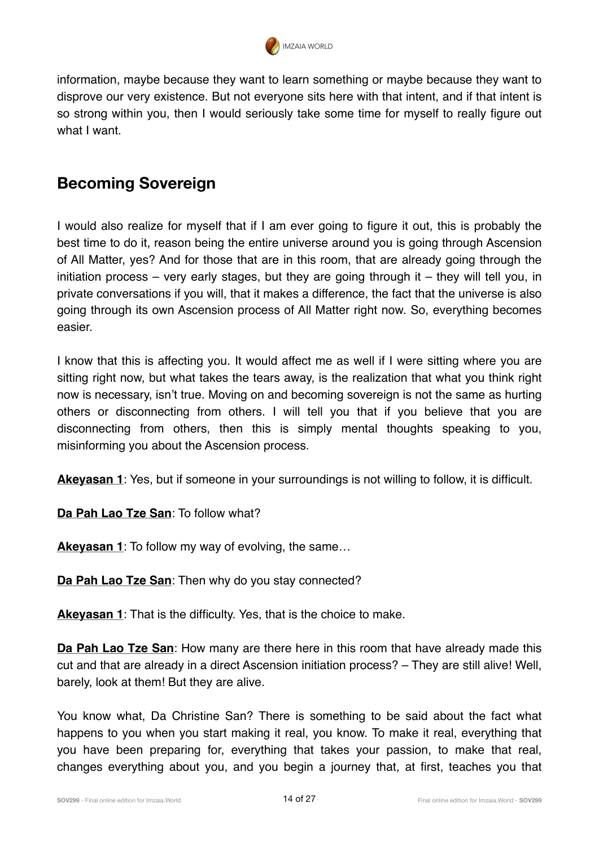

information, maybe because they want to learn something or maybe because they want to disprove our very existence. But not everyone sits here with that intent, and if that intent is so strong within you, then I would seriously take some time for myself to really figure out what I want.

## **Becoming Sovereign**

I would also realize for myself that if I am ever going to figure it out, this is probably the best time to do it, reason being the entire universe around you is going through Ascension of All Matter, yes? And for those that are in this room, that are already going through the initiation process – very early stages, but they are going through it – they will tell you, in private conversations if you will, that it makes a difference, the fact that the universe is also going through its own Ascension process of All Matter right now. So, everything becomes easier.

I know that this is affecting you. It would affect me as well if I were sitting where you are sitting right now, but what takes the tears away, is the realization that what you think right now is necessary, isn't true. Moving on and becoming sovereign is not the same as hurting others or disconnecting from others. I will tell you that if you believe that you are disconnecting from others, then this is simply mental thoughts speaking to you, misinforming you about the Ascension process.

**Akeyasan 1**: Yes, but if someone in your surroundings is not willing to follow, it is difficult.

**Da Pah Lao Tze San**: To follow what?

Akeyasan 1: To follow my way of evolving, the same...

**Da Pah Lao Tze San**: Then why do you stay connected?

**Akeyasan 1**: That is the difficulty. Yes, that is the choice to make.

**Da Pah Lao Tze San:** How many are there here in this room that have already made this cut and that are already in a direct Ascension initiation process? – They are still alive! Well, barely, look at them! But they are alive.

You know what, Da Christine San? There is something to be said about the fact what happens to you when you start making it real, you know. To make it real, everything that you have been preparing for, everything that takes your passion, to make that real, changes everything about you, and you begin a journey that, at first, teaches you that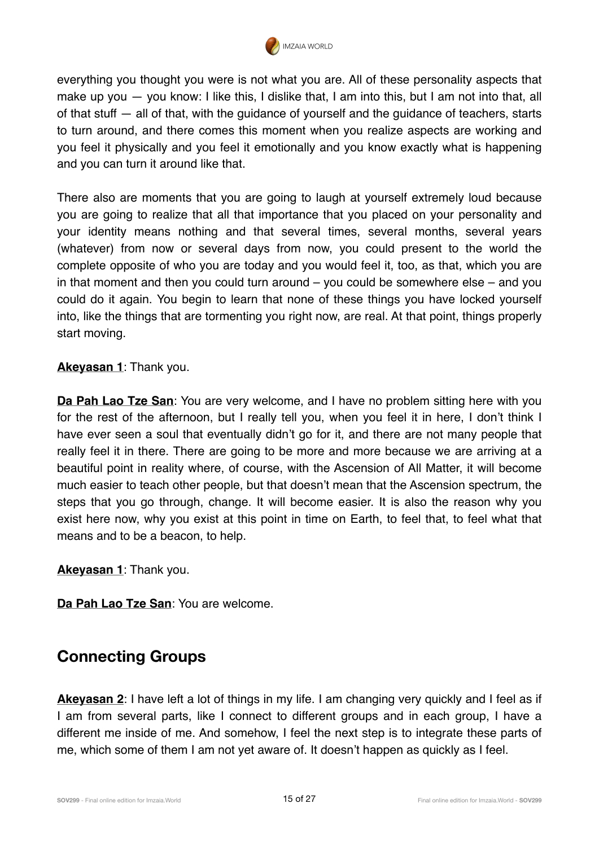

everything you thought you were is not what you are. All of these personality aspects that make up you — you know: I like this, I dislike that, I am into this, but I am not into that, all of that stuff — all of that, with the guidance of yourself and the guidance of teachers, starts to turn around, and there comes this moment when you realize aspects are working and you feel it physically and you feel it emotionally and you know exactly what is happening and you can turn it around like that.

There also are moments that you are going to laugh at yourself extremely loud because you are going to realize that all that importance that you placed on your personality and your identity means nothing and that several times, several months, several years (whatever) from now or several days from now, you could present to the world the complete opposite of who you are today and you would feel it, too, as that, which you are in that moment and then you could turn around – you could be somewhere else – and you could do it again. You begin to learn that none of these things you have locked yourself into, like the things that are tormenting you right now, are real. At that point, things properly start moving.

#### **Akeyasan 1**: Thank you.

**Da Pah Lao Tze San:** You are very welcome, and I have no problem sitting here with you for the rest of the afternoon, but I really tell you, when you feel it in here, I don't think I have ever seen a soul that eventually didn't go for it, and there are not many people that really feel it in there. There are going to be more and more because we are arriving at a beautiful point in reality where, of course, with the Ascension of All Matter, it will become much easier to teach other people, but that doesn't mean that the Ascension spectrum, the steps that you go through, change. It will become easier. It is also the reason why you exist here now, why you exist at this point in time on Earth, to feel that, to feel what that means and to be a beacon, to help.

**Akeyasan 1**: Thank you.

**Da Pah Lao Tze San**: You are welcome.

#### **Connecting Groups**

**Akeyasan 2**: I have left a lot of things in my life. I am changing very quickly and I feel as if I am from several parts, like I connect to different groups and in each group, I have a different me inside of me. And somehow, I feel the next step is to integrate these parts of me, which some of them I am not yet aware of. It doesn't happen as quickly as I feel.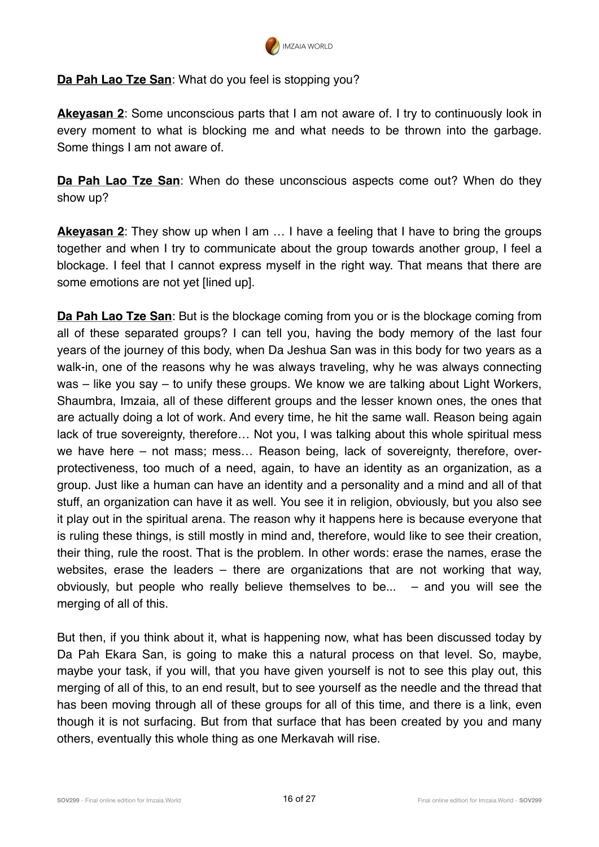

#### **Da Pah Lao Tze San**: What do you feel is stopping you?

**Akeyasan 2:** Some unconscious parts that I am not aware of. I try to continuously look in every moment to what is blocking me and what needs to be thrown into the garbage. Some things I am not aware of.

**Da Pah Lao Tze San**: When do these unconscious aspects come out? When do they show up?

**Akeyasan 2**: They show up when I am ... I have a feeling that I have to bring the groups together and when I try to communicate about the group towards another group, I feel a blockage. I feel that I cannot express myself in the right way. That means that there are some emotions are not yet [lined up].

**Da Pah Lao Tze San**: But is the blockage coming from you or is the blockage coming from all of these separated groups? I can tell you, having the body memory of the last four years of the journey of this body, when Da Jeshua San was in this body for two years as a walk-in, one of the reasons why he was always traveling, why he was always connecting was – like you say – to unify these groups. We know we are talking about Light Workers, Shaumbra, Imzaia, all of these different groups and the lesser known ones, the ones that are actually doing a lot of work. And every time, he hit the same wall. Reason being again lack of true sovereignty, therefore… Not you, I was talking about this whole spiritual mess we have here – not mass; mess… Reason being, lack of sovereignty, therefore, overprotectiveness, too much of a need, again, to have an identity as an organization, as a group. Just like a human can have an identity and a personality and a mind and all of that stuff, an organization can have it as well. You see it in religion, obviously, but you also see it play out in the spiritual arena. The reason why it happens here is because everyone that is ruling these things, is still mostly in mind and, therefore, would like to see their creation, their thing, rule the roost. That is the problem. In other words: erase the names, erase the websites, erase the leaders – there are organizations that are not working that way, obviously, but people who really believe themselves to be... – and you will see the merging of all of this.

But then, if you think about it, what is happening now, what has been discussed today by Da Pah Ekara San, is going to make this a natural process on that level. So, maybe, maybe your task, if you will, that you have given yourself is not to see this play out, this merging of all of this, to an end result, but to see yourself as the needle and the thread that has been moving through all of these groups for all of this time, and there is a link, even though it is not surfacing. But from that surface that has been created by you and many others, eventually this whole thing as one Merkavah will rise.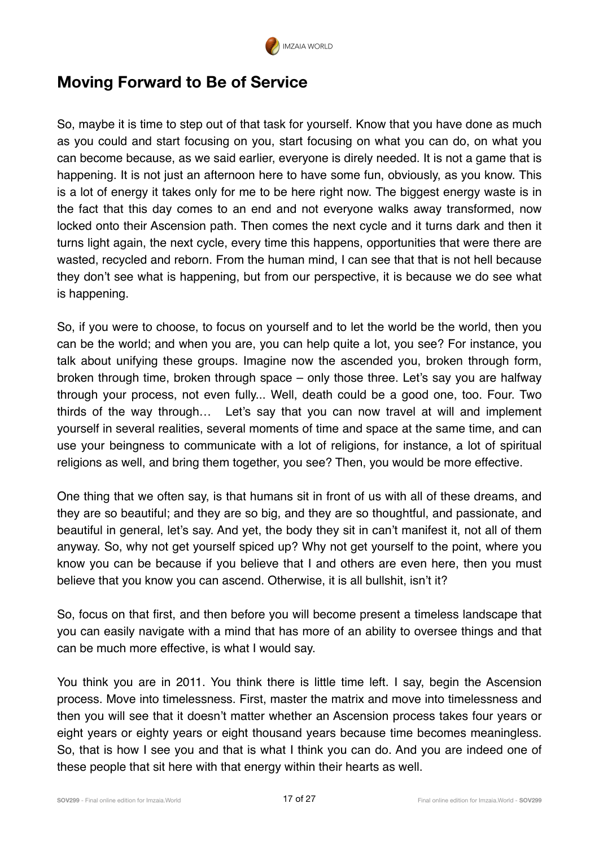

#### **Moving Forward to Be of Service**

So, maybe it is time to step out of that task for yourself. Know that you have done as much as you could and start focusing on you, start focusing on what you can do, on what you can become because, as we said earlier, everyone is direly needed. It is not a game that is happening. It is not just an afternoon here to have some fun, obviously, as you know. This is a lot of energy it takes only for me to be here right now. The biggest energy waste is in the fact that this day comes to an end and not everyone walks away transformed, now locked onto their Ascension path. Then comes the next cycle and it turns dark and then it turns light again, the next cycle, every time this happens, opportunities that were there are wasted, recycled and reborn. From the human mind, I can see that that is not hell because they don't see what is happening, but from our perspective, it is because we do see what is happening.

So, if you were to choose, to focus on yourself and to let the world be the world, then you can be the world; and when you are, you can help quite a lot, you see? For instance, you talk about unifying these groups. Imagine now the ascended you, broken through form, broken through time, broken through space – only those three. Let's say you are halfway through your process, not even fully... Well, death could be a good one, too. Four. Two thirds of the way through… Let's say that you can now travel at will and implement yourself in several realities, several moments of time and space at the same time, and can use your beingness to communicate with a lot of religions, for instance, a lot of spiritual religions as well, and bring them together, you see? Then, you would be more effective.

One thing that we often say, is that humans sit in front of us with all of these dreams, and they are so beautiful; and they are so big, and they are so thoughtful, and passionate, and beautiful in general, let's say. And yet, the body they sit in can't manifest it, not all of them anyway. So, why not get yourself spiced up? Why not get yourself to the point, where you know you can be because if you believe that I and others are even here, then you must believe that you know you can ascend. Otherwise, it is all bullshit, isn't it?

So, focus on that first, and then before you will become present a timeless landscape that you can easily navigate with a mind that has more of an ability to oversee things and that can be much more effective, is what I would say.

You think you are in 2011. You think there is little time left. I say, begin the Ascension process. Move into timelessness. First, master the matrix and move into timelessness and then you will see that it doesn't matter whether an Ascension process takes four years or eight years or eighty years or eight thousand years because time becomes meaningless. So, that is how I see you and that is what I think you can do. And you are indeed one of these people that sit here with that energy within their hearts as well.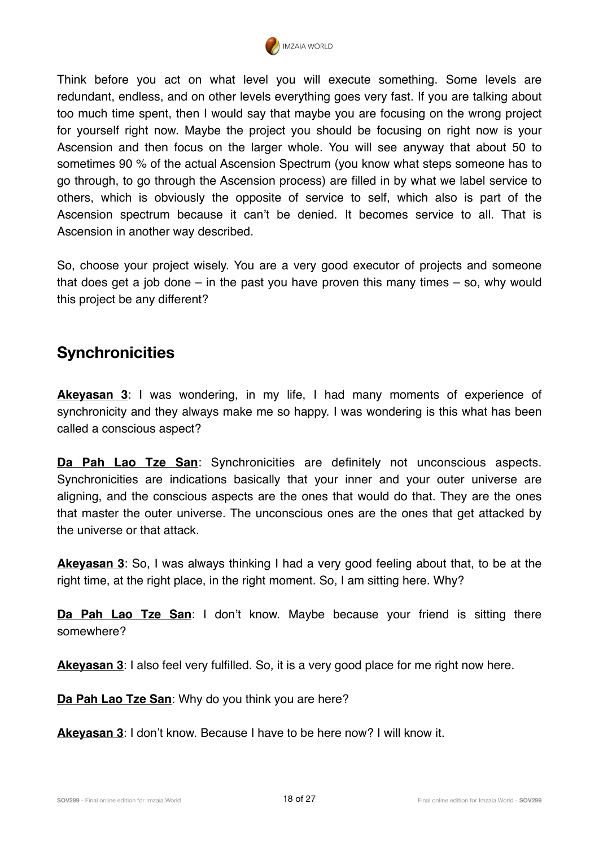

Think before you act on what level you will execute something. Some levels are redundant, endless, and on other levels everything goes very fast. If you are talking about too much time spent, then I would say that maybe you are focusing on the wrong project for yourself right now. Maybe the project you should be focusing on right now is your Ascension and then focus on the larger whole. You will see anyway that about 50 to sometimes 90 % of the actual Ascension Spectrum (you know what steps someone has to go through, to go through the Ascension process) are filled in by what we label service to others, which is obviously the opposite of service to self, which also is part of the Ascension spectrum because it can't be denied. It becomes service to all. That is Ascension in another way described.

So, choose your project wisely. You are a very good executor of projects and someone that does get a job done – in the past you have proven this many times – so, why would this project be any different?

## **Synchronicities**

**Akeyasan 3**: I was wondering, in my life, I had many moments of experience of synchronicity and they always make me so happy. I was wondering is this what has been called a conscious aspect?

**Da Pah Lao Tze San**: Synchronicities are definitely not unconscious aspects. Synchronicities are indications basically that your inner and your outer universe are aligning, and the conscious aspects are the ones that would do that. They are the ones that master the outer universe. The unconscious ones are the ones that get attacked by the universe or that attack.

**Akeyasan 3**: So, I was always thinking I had a very good feeling about that, to be at the right time, at the right place, in the right moment. So, I am sitting here. Why?

**Da Pah Lao Tze San**: I don't know. Maybe because your friend is sitting there somewhere?

**Akeyasan 3**: I also feel very fulfilled. So, it is a very good place for me right now here.

**Da Pah Lao Tze San**: Why do you think you are here?

**Akeyasan 3**: I don't know. Because I have to be here now? I will know it.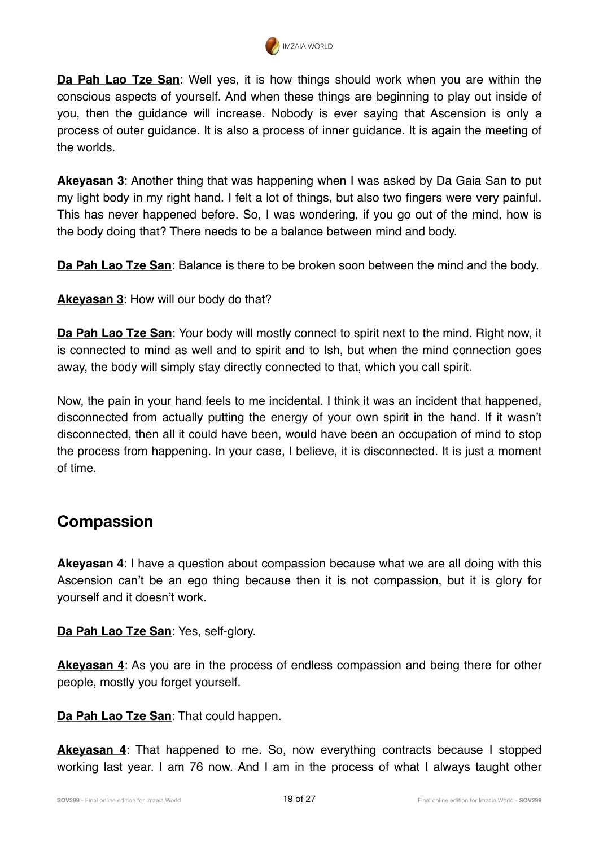

**Da Pah Lao Tze San**: Well yes, it is how things should work when you are within the conscious aspects of yourself. And when these things are beginning to play out inside of you, then the guidance will increase. Nobody is ever saying that Ascension is only a process of outer guidance. It is also a process of inner guidance. It is again the meeting of the worlds.

**Akeyasan 3**: Another thing that was happening when I was asked by Da Gaia San to put my light body in my right hand. I felt a lot of things, but also two fingers were very painful. This has never happened before. So, I was wondering, if you go out of the mind, how is the body doing that? There needs to be a balance between mind and body.

**Da Pah Lao Tze San**: Balance is there to be broken soon between the mind and the body.

**Akeyasan 3**: How will our body do that?

**Da Pah Lao Tze San**: Your body will mostly connect to spirit next to the mind. Right now, it is connected to mind as well and to spirit and to Ish, but when the mind connection goes away, the body will simply stay directly connected to that, which you call spirit.

Now, the pain in your hand feels to me incidental. I think it was an incident that happened, disconnected from actually putting the energy of your own spirit in the hand. If it wasn't disconnected, then all it could have been, would have been an occupation of mind to stop the process from happening. In your case, I believe, it is disconnected. It is just a moment of time.

#### **Compassion**

**Akeyasan 4**: I have a question about compassion because what we are all doing with this Ascension can't be an ego thing because then it is not compassion, but it is glory for yourself and it doesn't work.

**Da Pah Lao Tze San**: Yes, self-glory.

**Akeyasan 4**: As you are in the process of endless compassion and being there for other people, mostly you forget yourself.

**Da Pah Lao Tze San**: That could happen.

**Akeyasan 4**: That happened to me. So, now everything contracts because I stopped working last year. I am 76 now. And I am in the process of what I always taught other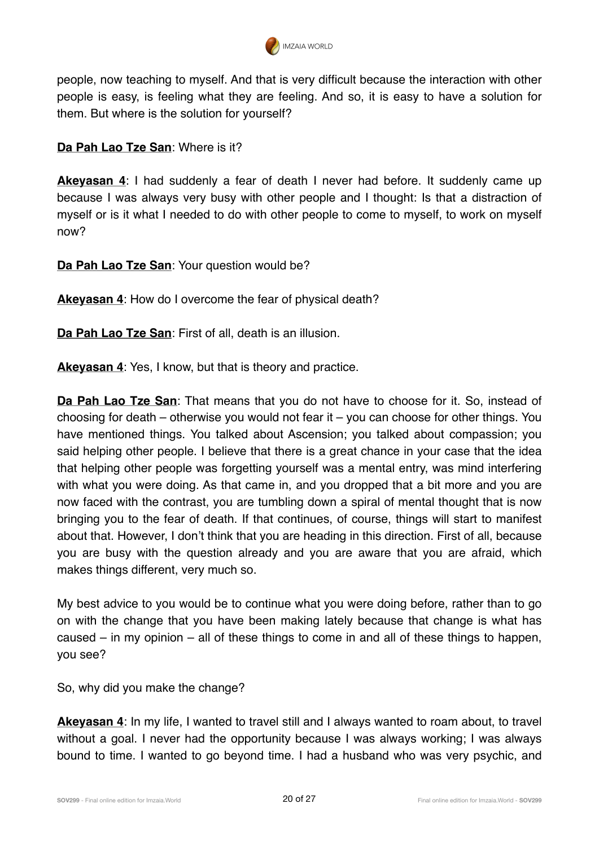

people, now teaching to myself. And that is very difficult because the interaction with other people is easy, is feeling what they are feeling. And so, it is easy to have a solution for them. But where is the solution for yourself?

**Da Pah Lao Tze San**: Where is it?

**Akeyasan 4**: I had suddenly a fear of death I never had before. It suddenly came up because I was always very busy with other people and I thought: Is that a distraction of myself or is it what I needed to do with other people to come to myself, to work on myself now?

**Da Pah Lao Tze San**: Your question would be?

**Akeyasan 4**: How do I overcome the fear of physical death?

**Da Pah Lao Tze San**: First of all, death is an illusion.

**Akeyasan 4**: Yes, I know, but that is theory and practice.

**Da Pah Lao Tze San**: That means that you do not have to choose for it. So, instead of choosing for death – otherwise you would not fear it – you can choose for other things. You have mentioned things. You talked about Ascension; you talked about compassion; you said helping other people. I believe that there is a great chance in your case that the idea that helping other people was forgetting yourself was a mental entry, was mind interfering with what you were doing. As that came in, and you dropped that a bit more and you are now faced with the contrast, you are tumbling down a spiral of mental thought that is now bringing you to the fear of death. If that continues, of course, things will start to manifest about that. However, I don't think that you are heading in this direction. First of all, because you are busy with the question already and you are aware that you are afraid, which makes things different, very much so.

My best advice to you would be to continue what you were doing before, rather than to go on with the change that you have been making lately because that change is what has caused – in my opinion – all of these things to come in and all of these things to happen, you see?

So, why did you make the change?

**Akeyasan 4**: In my life, I wanted to travel still and I always wanted to roam about, to travel without a goal. I never had the opportunity because I was always working; I was always bound to time. I wanted to go beyond time. I had a husband who was very psychic, and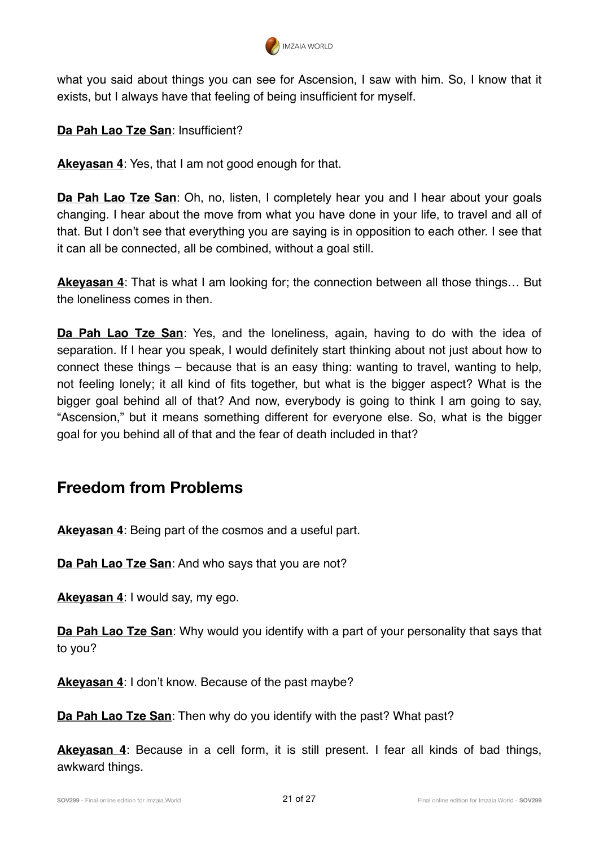

what you said about things you can see for Ascension, I saw with him. So, I know that it exists, but I always have that feeling of being insufficient for myself.

**Da Pah Lao Tze San**: Insufficient?

**Akeyasan 4**: Yes, that I am not good enough for that.

**Da Pah Lao Tze San:** Oh, no, listen, I completely hear you and I hear about your goals changing. I hear about the move from what you have done in your life, to travel and all of that. But I don't see that everything you are saying is in opposition to each other. I see that it can all be connected, all be combined, without a goal still.

**Akeyasan 4**: That is what I am looking for; the connection between all those things… But the loneliness comes in then.

**Da Pah Lao Tze San**: Yes, and the loneliness, again, having to do with the idea of separation. If I hear you speak, I would definitely start thinking about not just about how to connect these things – because that is an easy thing: wanting to travel, wanting to help, not feeling lonely; it all kind of fits together, but what is the bigger aspect? What is the bigger goal behind all of that? And now, everybody is going to think I am going to say, "Ascension," but it means something different for everyone else. So, what is the bigger goal for you behind all of that and the fear of death included in that?

#### **Freedom from Problems**

**Akeyasan 4**: Being part of the cosmos and a useful part.

**Da Pah Lao Tze San**: And who says that you are not?

**Akeyasan 4**: I would say, my ego.

**Da Pah Lao Tze San**: Why would you identify with a part of your personality that says that to you?

**Akeyasan 4**: I don't know. Because of the past maybe?

**Da Pah Lao Tze San**: Then why do you identify with the past? What past?

**Akeyasan 4**: Because in a cell form, it is still present. I fear all kinds of bad things, awkward things.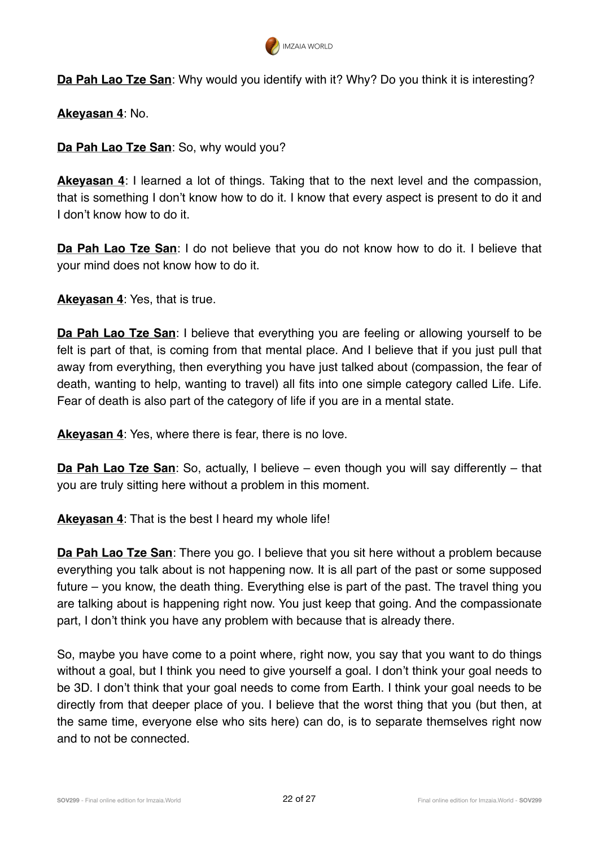

**Da Pah Lao Tze San**: Why would you identify with it? Why? Do you think it is interesting?

**Akeyasan 4**: No.

**Da Pah Lao Tze San**: So, why would you?

**Akeyasan 4**: I learned a lot of things. Taking that to the next level and the compassion, that is something I don't know how to do it. I know that every aspect is present to do it and I don't know how to do it.

**Da Pah Lao Tze San**: I do not believe that you do not know how to do it. I believe that your mind does not know how to do it.

**Akeyasan 4**: Yes, that is true.

**Da Pah Lao Tze San**: I believe that everything you are feeling or allowing yourself to be felt is part of that, is coming from that mental place. And I believe that if you just pull that away from everything, then everything you have just talked about (compassion, the fear of death, wanting to help, wanting to travel) all fits into one simple category called Life. Life. Fear of death is also part of the category of life if you are in a mental state.

**Akeyasan 4**: Yes, where there is fear, there is no love.

**Da Pah Lao Tze San**: So, actually, I believe – even though you will say differently – that you are truly sitting here without a problem in this moment.

**Akeyasan 4**: That is the best I heard my whole life!

**Da Pah Lao Tze San**: There you go. I believe that you sit here without a problem because everything you talk about is not happening now. It is all part of the past or some supposed future – you know, the death thing. Everything else is part of the past. The travel thing you are talking about is happening right now. You just keep that going. And the compassionate part, I don't think you have any problem with because that is already there.

So, maybe you have come to a point where, right now, you say that you want to do things without a goal, but I think you need to give yourself a goal. I don't think your goal needs to be 3D. I don't think that your goal needs to come from Earth. I think your goal needs to be directly from that deeper place of you. I believe that the worst thing that you (but then, at the same time, everyone else who sits here) can do, is to separate themselves right now and to not be connected.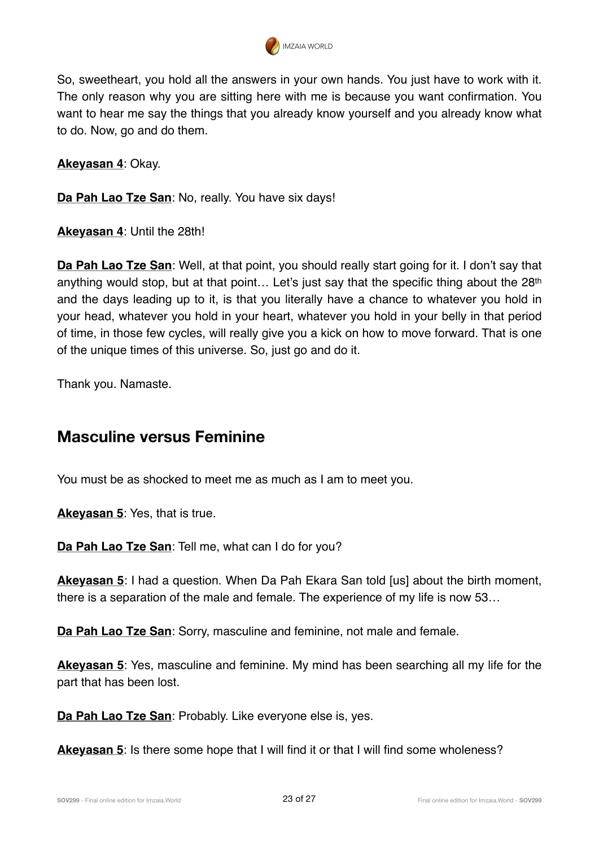

So, sweetheart, you hold all the answers in your own hands. You just have to work with it. The only reason why you are sitting here with me is because you want confirmation. You want to hear me say the things that you already know yourself and you already know what to do. Now, go and do them.

**Akeyasan 4**: Okay.

**Da Pah Lao Tze San**: No, really. You have six days!

**Akeyasan 4**: Until the 28th!

**Da Pah Lao Tze San**: Well, at that point, you should really start going for it. I don't say that anything would stop, but at that point... Let's just say that the specific thing about the 28<sup>th</sup> and the days leading up to it, is that you literally have a chance to whatever you hold in your head, whatever you hold in your heart, whatever you hold in your belly in that period of time, in those few cycles, will really give you a kick on how to move forward. That is one of the unique times of this universe. So, just go and do it.

Thank you. Namaste.

#### **Masculine versus Feminine**

You must be as shocked to meet me as much as I am to meet you.

**Akeyasan 5**: Yes, that is true.

**Da Pah Lao Tze San**: Tell me, what can I do for you?

**Akeyasan 5**: I had a question. When Da Pah Ekara San told [us] about the birth moment, there is a separation of the male and female. The experience of my life is now 53…

**Da Pah Lao Tze San**: Sorry, masculine and feminine, not male and female.

**Akeyasan 5**: Yes, masculine and feminine. My mind has been searching all my life for the part that has been lost.

**Da Pah Lao Tze San**: Probably. Like everyone else is, yes.

**Akeyasan 5**: Is there some hope that I will find it or that I will find some wholeness?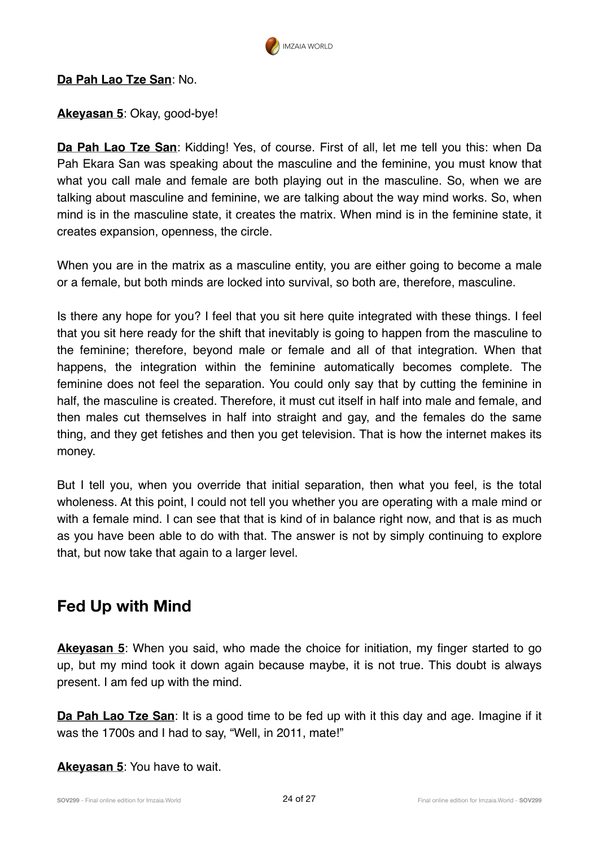

#### **Da Pah Lao Tze San**: No.

**Akeyasan 5**: Okay, good-bye!

**Da Pah Lao Tze San**: Kidding! Yes, of course. First of all, let me tell you this: when Da Pah Ekara San was speaking about the masculine and the feminine, you must know that what you call male and female are both playing out in the masculine. So, when we are talking about masculine and feminine, we are talking about the way mind works. So, when mind is in the masculine state, it creates the matrix. When mind is in the feminine state, it creates expansion, openness, the circle.

When you are in the matrix as a masculine entity, you are either going to become a male or a female, but both minds are locked into survival, so both are, therefore, masculine.

Is there any hope for you? I feel that you sit here quite integrated with these things. I feel that you sit here ready for the shift that inevitably is going to happen from the masculine to the feminine; therefore, beyond male or female and all of that integration. When that happens, the integration within the feminine automatically becomes complete. The feminine does not feel the separation. You could only say that by cutting the feminine in half, the masculine is created. Therefore, it must cut itself in half into male and female, and then males cut themselves in half into straight and gay, and the females do the same thing, and they get fetishes and then you get television. That is how the internet makes its money.

But I tell you, when you override that initial separation, then what you feel, is the total wholeness. At this point, I could not tell you whether you are operating with a male mind or with a female mind. I can see that that is kind of in balance right now, and that is as much as you have been able to do with that. The answer is not by simply continuing to explore that, but now take that again to a larger level.

#### **Fed Up with Mind**

**Akeyasan 5**: When you said, who made the choice for initiation, my finger started to go up, but my mind took it down again because maybe, it is not true. This doubt is always present. I am fed up with the mind.

**Da Pah Lao Tze San:** It is a good time to be fed up with it this day and age. Imagine if it was the 1700s and I had to say, "Well, in 2011, mate!"

**Akeyasan 5**: You have to wait.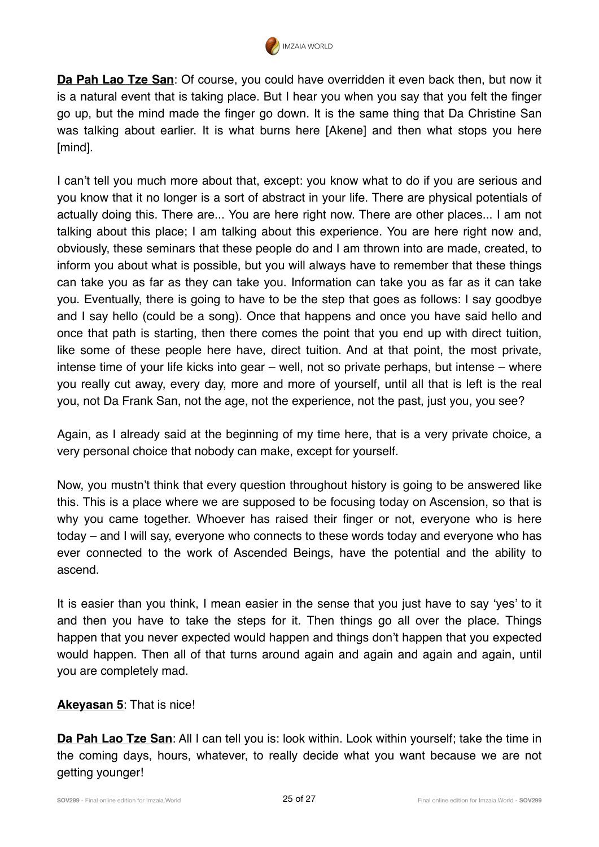

**Da Pah Lao Tze San**: Of course, you could have overridden it even back then, but now it is a natural event that is taking place. But I hear you when you say that you felt the finger go up, but the mind made the finger go down. It is the same thing that Da Christine San was talking about earlier. It is what burns here [Akene] and then what stops you here [mind].

I can't tell you much more about that, except: you know what to do if you are serious and you know that it no longer is a sort of abstract in your life. There are physical potentials of actually doing this. There are... You are here right now. There are other places... I am not talking about this place; I am talking about this experience. You are here right now and, obviously, these seminars that these people do and I am thrown into are made, created, to inform you about what is possible, but you will always have to remember that these things can take you as far as they can take you. Information can take you as far as it can take you. Eventually, there is going to have to be the step that goes as follows: I say goodbye and I say hello (could be a song). Once that happens and once you have said hello and once that path is starting, then there comes the point that you end up with direct tuition, like some of these people here have, direct tuition. And at that point, the most private, intense time of your life kicks into gear – well, not so private perhaps, but intense – where you really cut away, every day, more and more of yourself, until all that is left is the real you, not Da Frank San, not the age, not the experience, not the past, just you, you see?

Again, as I already said at the beginning of my time here, that is a very private choice, a very personal choice that nobody can make, except for yourself.

Now, you mustn't think that every question throughout history is going to be answered like this. This is a place where we are supposed to be focusing today on Ascension, so that is why you came together. Whoever has raised their finger or not, everyone who is here today – and I will say, everyone who connects to these words today and everyone who has ever connected to the work of Ascended Beings, have the potential and the ability to ascend.

It is easier than you think, I mean easier in the sense that you just have to say 'yes' to it and then you have to take the steps for it. Then things go all over the place. Things happen that you never expected would happen and things don't happen that you expected would happen. Then all of that turns around again and again and again and again, until you are completely mad.

#### **Akeyasan 5**: That is nice!

**Da Pah Lao Tze San**: All I can tell you is: look within. Look within yourself; take the time in the coming days, hours, whatever, to really decide what you want because we are not getting younger!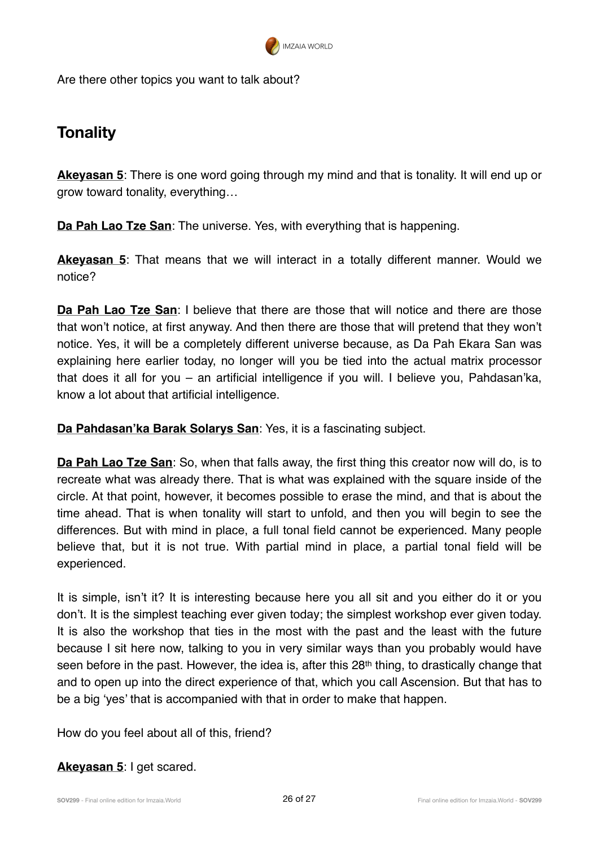

Are there other topics you want to talk about?

## **Tonality**

**Akeyasan 5**: There is one word going through my mind and that is tonality. It will end up or grow toward tonality, everything…

**Da Pah Lao Tze San**: The universe. Yes, with everything that is happening.

**Akeyasan 5**: That means that we will interact in a totally different manner. Would we notice?

**Da Pah Lao Tze San**: I believe that there are those that will notice and there are those that won't notice, at first anyway. And then there are those that will pretend that they won't notice. Yes, it will be a completely different universe because, as Da Pah Ekara San was explaining here earlier today, no longer will you be tied into the actual matrix processor that does it all for you – an artificial intelligence if you will. I believe you, Pahdasan'ka, know a lot about that artificial intelligence.

**Da Pahdasan'ka Barak Solarys San**: Yes, it is a fascinating subject.

**Da Pah Lao Tze San**: So, when that falls away, the first thing this creator now will do, is to recreate what was already there. That is what was explained with the square inside of the circle. At that point, however, it becomes possible to erase the mind, and that is about the time ahead. That is when tonality will start to unfold, and then you will begin to see the differences. But with mind in place, a full tonal field cannot be experienced. Many people believe that, but it is not true. With partial mind in place, a partial tonal field will be experienced.

It is simple, isn't it? It is interesting because here you all sit and you either do it or you don't. It is the simplest teaching ever given today; the simplest workshop ever given today. It is also the workshop that ties in the most with the past and the least with the future because I sit here now, talking to you in very similar ways than you probably would have seen before in the past. However, the idea is, after this 28<sup>th</sup> thing, to drastically change that and to open up into the direct experience of that, which you call Ascension. But that has to be a big 'yes' that is accompanied with that in order to make that happen.

How do you feel about all of this, friend?

**Akeyasan 5**: I get scared.